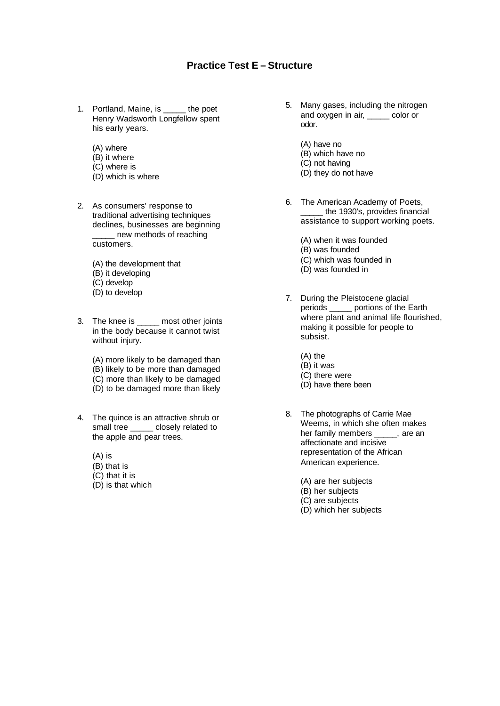## **Practice Test E – Structure**

- 1. Portland, Maine, is \_\_\_\_\_ the poet Henry Wadsworth Longfellow spent his early years.
	- (A) where
	- (B) it where
	- (C) where is
	- (D) which is where
- 2. As consumers' response to traditional advertising techniques declines, businesses are beginning new methods of reaching customers.
	- (A) the development that
	- (B) it developing
	- (C) develop
	- (D) to develop
- 3. The knee is \_\_\_\_\_ most other joints in the body because it cannot twist without injury.
	- (A) more likely to be damaged than (B) likely to be more than damaged (C) more than likely to be damaged (D) to be damaged more than likely
- 4. The quince is an attractive shrub or small tree \_\_\_\_\_ closely related to the apple and pear trees.
	- (A) is
	- (B) that is
	- (C) that it is
	- (D) is that which
- 5. Many gases, including the nitrogen and oxygen in air, eolor or odor.
	- (A) have no
	- (B) which have no
	- (C) not having
	- (D) they do not have
- 6. The American Academy of Poets, the 1930's, provides financial assistance to support working poets.
	- (A) when it was founded
	- (B) was founded
	- (C) which was founded in
	- (D) was founded in
- 7. During the Pleistocene glacial periods portions of the Earth where plant and animal life flourished. making it possible for people to subsist.
	- (A) the
	- (B) it was
	- (C) there were
	- (D) have there been
- 8. The photographs of Carrie Mae Weems, in which she often makes her family members \_\_\_\_\_, are an affectionate and incisive representation of the African American experience.
	- (A) are her subjects
	- (B) her subjects
	- (C) are subjects
	- (D) which her subjects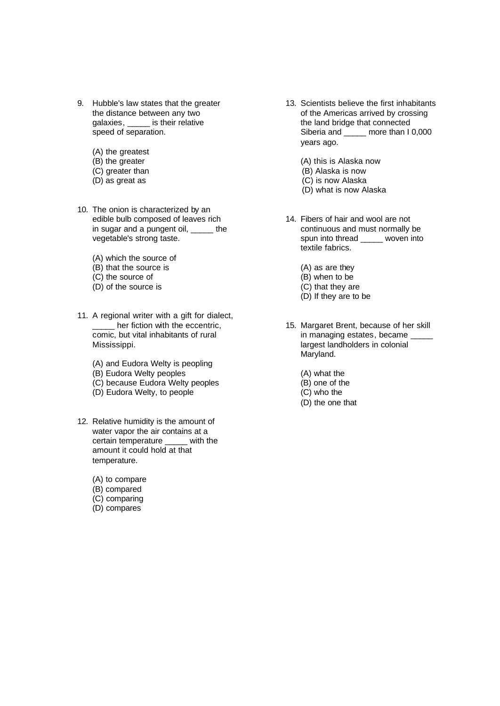- 9. Hubble's law states that the greater the distance between any two galaxies, \_\_\_\_\_ is their relative speed of separation.
	- (A) the greatest
	- (B) the greater
	- (C) greater than
	- (D) as great as
- 10. The onion is characterized by an edible bulb composed of leaves rich in sugar and a pungent oil, \_\_\_\_\_ the vegetable's strong taste.
	- (A) which the source of
	- (B) that the source is
	- (C) the source of
	- (D) of the source is
- 11. A regional writer with a gift for dialect, **LECT** her fiction with the eccentric, comic, but vital inhabitants of rural Mississippi.
	- (A) and Eudora Welty is peopling
	- (B) Eudora Welty peoples
	- (C) because Eudora Welty peoples
	- (D) Eudora Welty, to people
- 12. Relative humidity is the amount of water vapor the air contains at a certain temperature \_\_\_\_\_ with the amount it could hold at that temperature.
	- (A) to compare
	- (B) compared
	- (C) comparing
	- (D) compares
- 13. Scientists believe the first inhabitants of the Americas arrived by crossing the land bridge that connected Siberia and \_\_\_\_\_ more than I 0,000 years ago.
	- (A) this is Alaska now
	- (B) Alaska is now
	- (C) is now Alaska
	- (D) what is now Alaska
- 14. Fibers of hair and wool are not continuous and must normally be spun into thread \_\_\_\_\_ woven into textile fabrics.
	- (A) as are they
	- (B) when to be
	- (C) that they are
	- (D) If they are to be
- 15. Margaret Brent, because of her skill in managing estates, became largest landholders in colonial Maryland.
	- (A) what the
	- (B) one of the
	- (C) who the
	- (D) the one that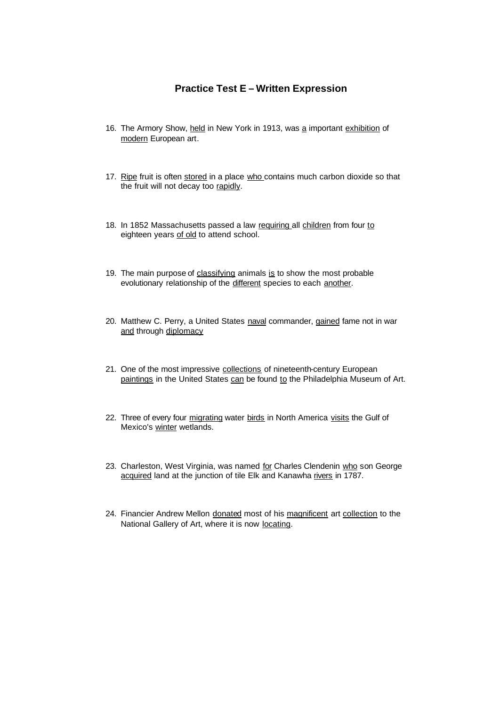## **Practice Test E – Written Expression**

- 16. The Armory Show, held in New York in 1913, was a important exhibition of modern European art.
- 17. Ripe fruit is often stored in a place who contains much carbon dioxide so that the fruit will not decay too rapidly.
- 18. In 1852 Massachusetts passed a law requiring all children from four to eighteen years of old to attend school.
- 19. The main purpose of classifying animals is to show the most probable evolutionary relationship of the different species to each another.
- 20. Matthew C. Perry, a United States naval commander, gained fame not in war and through diplomacy
- 21. One of the most impressive collections of nineteenth-century European paintings in the United States can be found to the Philadelphia Museum of Art.
- 22. Three of every four migrating water birds in North America visits the Gulf of Mexico's winter wetlands.
- 23. Charleston, West Virginia, was named for Charles Clendenin who son George acquired land at the junction of tile Elk and Kanawha rivers in 1787.
- 24. Financier Andrew Mellon donated most of his magnificent art collection to the National Gallery of Art, where it is now locating.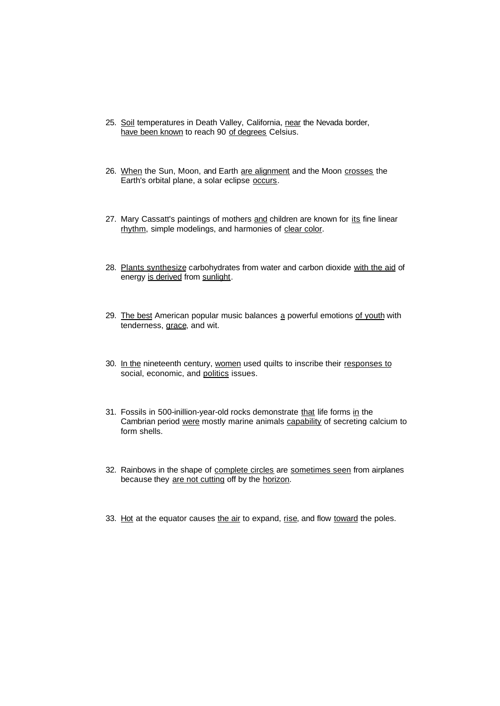- 25. Soil temperatures in Death Valley, California, near the Nevada border, have been known to reach 90 of degrees Celsius.
- 26. When the Sun, Moon, and Earth are alignment and the Moon crosses the Earth's orbital plane, a solar eclipse occurs.
- 27. Mary Cassatt's paintings of mothers and children are known for its fine linear rhythm, simple modelings, and harmonies of clear color.
- 28. Plants synthesize carbohydrates from water and carbon dioxide with the aid of energy is derived from sunlight.
- 29. The best American popular music balances a powerful emotions of youth with tenderness, grace, and wit.
- 30. In the nineteenth century, women used quilts to inscribe their responses to social, economic, and politics issues.
- 31. Fossils in 500-inillion-year-old rocks demonstrate that life forms in the Cambrian period were mostly marine animals capability of secreting calcium to form shells.
- 32. Rainbows in the shape of complete circles are sometimes seen from airplanes because they are not cutting off by the horizon.
- 33. Hot at the equator causes the air to expand, rise, and flow toward the poles.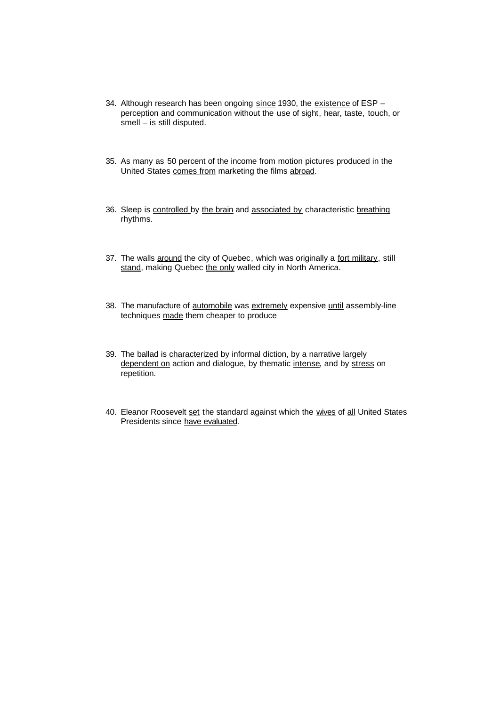- 34. Although research has been ongoing since 1930, the existence of ESP perception and communication without the use of sight, hear, taste, touch, or smell – is still disputed.
- 35. As many as 50 percent of the income from motion pictures produced in the United States comes from marketing the films abroad.
- 36. Sleep is controlled by the brain and associated by characteristic breathing rhythms.
- 37. The walls around the city of Quebec, which was originally a fort military, still stand, making Quebec the only walled city in North America.
- 38. The manufacture of automobile was extremely expensive until assembly-line techniques made them cheaper to produce
- 39. The ballad is characterized by informal diction, by a narrative largely dependent on action and dialogue, by thematic intense, and by stress on repetition.
- 40. Eleanor Roosevelt set the standard against which the wives of all United States Presidents since have evaluated.